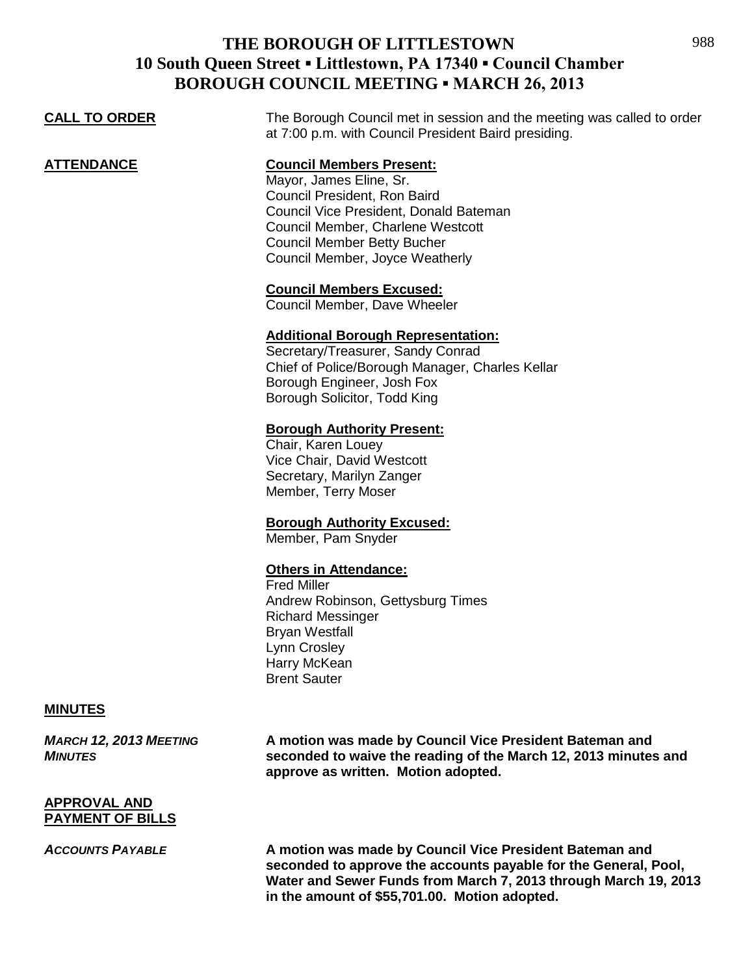| <b>CALL TO ORDER</b> | The Borough Council met in session and the meeting was called to order<br>at 7:00 p.m. with Council President Baird presiding.                                                                                                                     |
|----------------------|----------------------------------------------------------------------------------------------------------------------------------------------------------------------------------------------------------------------------------------------------|
| ATTENDANCE           | <b>Council Members Present:</b><br>Mayor, James Eline, Sr.<br>Council President, Ron Baird<br>Council Vice President, Donald Bateman<br>Council Member, Charlene Westcott<br><b>Council Member Betty Bucher</b><br>Council Member, Joyce Weatherly |
|                      | <b>Council Members Excused:</b><br>Council Member, Dave Wheeler                                                                                                                                                                                    |
|                      | <b>Additional Borough Representation:</b><br>Secretary/Treasurer, Sandy Conrad<br>Chief of Police/Borough Manager, Charles Kellar<br>Borough Engineer, Josh Fox<br>Borough Solicitor, Todd King                                                    |
|                      | <b>Borough Authority Present:</b><br>Chair, Karen Louey<br>Vice Chair, David Westcott<br>Secretary, Marilyn Zanger<br>Member, Terry Moser                                                                                                          |
|                      | <b>Borough Authority Excused:</b><br>Member, Pam Snyder                                                                                                                                                                                            |
|                      | <b>Others in Attendance:</b>                                                                                                                                                                                                                       |

Fred Miller Andrew Robinson, Gettysburg Times Richard Messinger Bryan Westfall Lynn Crosley Harry McKean Brent Sauter

### **MINUTES**

*MARCH 12, 2013 MEETING* **A motion was made by Council Vice President Bateman and**  *MINUTES* **seconded to waive the reading of the March 12, 2013 minutes and approve as written. Motion adopted.**

#### **APPROVAL AND PAYMENT OF BILLS**

*ACCOUNTS PAYABLE* **A motion was made by Council Vice President Bateman and seconded to approve the accounts payable for the General, Pool, Water and Sewer Funds from March 7, 2013 through March 19, 2013 in the amount of \$55,701.00. Motion adopted.**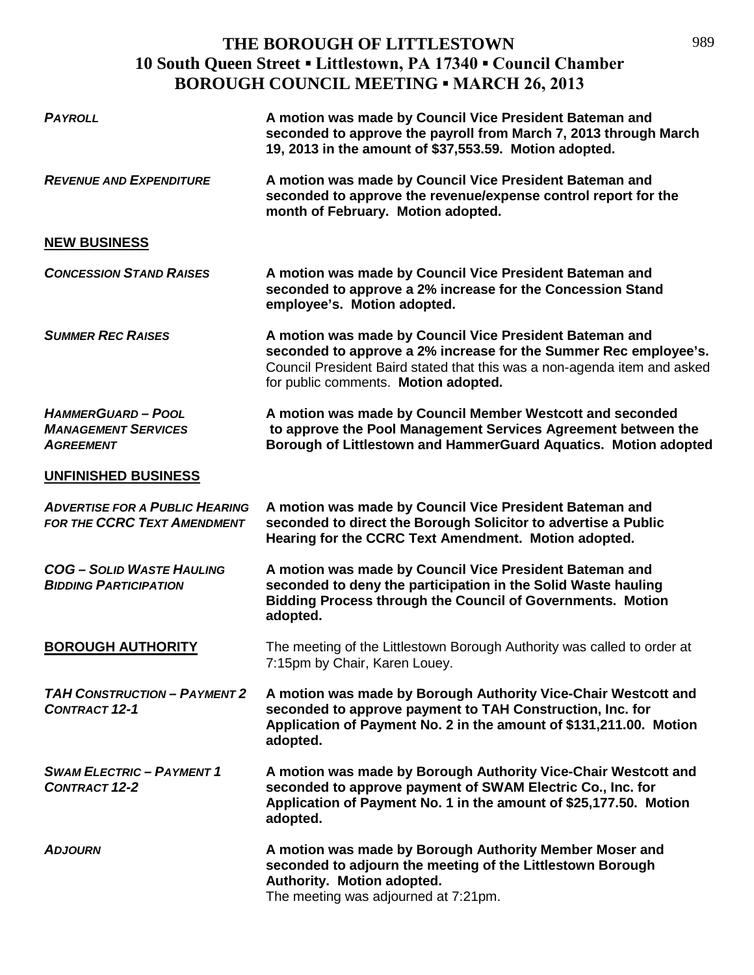| <b>PAYROLL</b>                                                              | A motion was made by Council Vice President Bateman and<br>seconded to approve the payroll from March 7, 2013 through March<br>19, 2013 in the amount of \$37,553.59. Motion adopted.                                                           |
|-----------------------------------------------------------------------------|-------------------------------------------------------------------------------------------------------------------------------------------------------------------------------------------------------------------------------------------------|
| <b>REVENUE AND EXPENDITURE</b>                                              | A motion was made by Council Vice President Bateman and<br>seconded to approve the revenue/expense control report for the<br>month of February. Motion adopted.                                                                                 |
| <b>NEW BUSINESS</b>                                                         |                                                                                                                                                                                                                                                 |
| <b>CONCESSION STAND RAISES</b>                                              | A motion was made by Council Vice President Bateman and<br>seconded to approve a 2% increase for the Concession Stand<br>employee's. Motion adopted.                                                                                            |
| <b>SUMMER REC RAISES</b>                                                    | A motion was made by Council Vice President Bateman and<br>seconded to approve a 2% increase for the Summer Rec employee's.<br>Council President Baird stated that this was a non-agenda item and asked<br>for public comments. Motion adopted. |
| <b>HAMMERGUARD-POOL</b><br><b>MANAGEMENT SERVICES</b><br><b>AGREEMENT</b>   | A motion was made by Council Member Westcott and seconded<br>to approve the Pool Management Services Agreement between the<br>Borough of Littlestown and HammerGuard Aquatics. Motion adopted                                                   |
| <b>UNFINISHED BUSINESS</b>                                                  |                                                                                                                                                                                                                                                 |
| <b>ADVERTISE FOR A PUBLIC HEARING</b><br><b>FOR THE CCRC TEXT AMENDMENT</b> | A motion was made by Council Vice President Bateman and<br>seconded to direct the Borough Solicitor to advertise a Public<br>Hearing for the CCRC Text Amendment. Motion adopted.                                                               |
| <b>COG-SOLID WASTE HAULING</b><br><b>BIDDING PARTICIPATION</b>              | A motion was made by Council Vice President Bateman and<br>seconded to deny the participation in the Solid Waste hauling<br>Bidding Process through the Council of Governments. Motion<br>adopted.                                              |
| <b>BOROUGH AUTHORITY</b>                                                    | The meeting of the Littlestown Borough Authority was called to order at<br>7:15pm by Chair, Karen Louey.                                                                                                                                        |
| <b>TAH CONSTRUCTION - PAYMENT 2</b><br><b>CONTRACT 12-1</b>                 | A motion was made by Borough Authority Vice-Chair Westcott and<br>seconded to approve payment to TAH Construction, Inc. for<br>Application of Payment No. 2 in the amount of \$131,211.00. Motion<br>adopted.                                   |
| <b>SWAM ELECTRIC - PAYMENT 1</b><br><b>CONTRACT 12-2</b>                    | A motion was made by Borough Authority Vice-Chair Westcott and<br>seconded to approve payment of SWAM Electric Co., Inc. for<br>Application of Payment No. 1 in the amount of \$25,177.50. Motion<br>adopted.                                   |
| <b>ADJOURN</b>                                                              | A motion was made by Borough Authority Member Moser and<br>seconded to adjourn the meeting of the Littlestown Borough<br>Authority. Motion adopted.<br>The meeting was adjourned at 7:21pm.                                                     |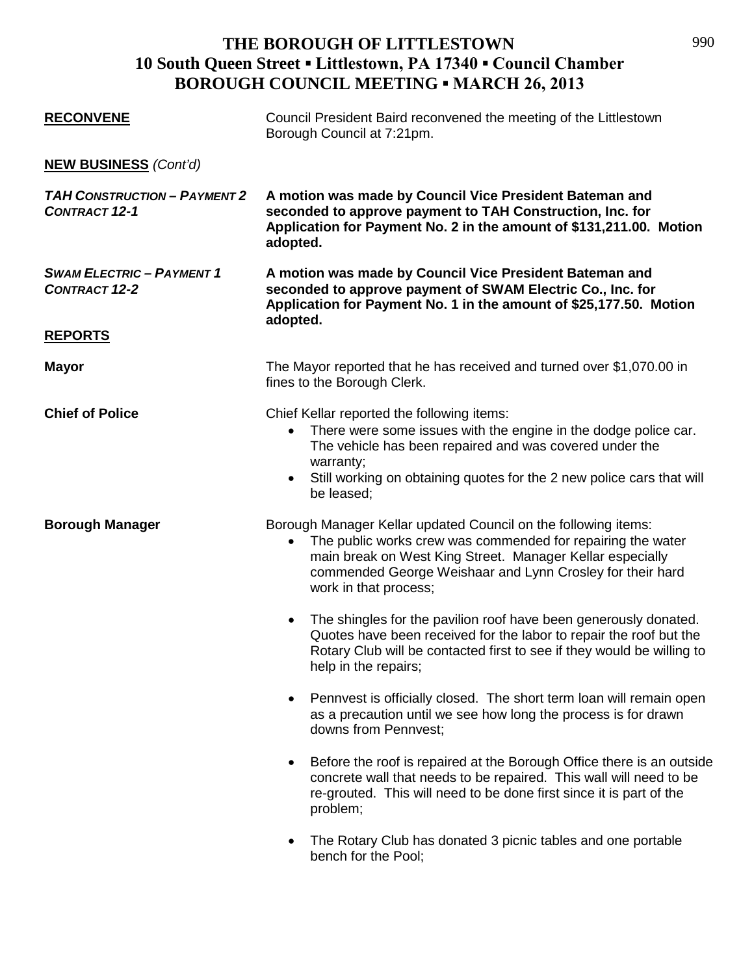| <b>RECONVENE</b>                                            | Council President Baird reconvened the meeting of the Littlestown<br>Borough Council at 7:21pm.                                                                                                                                                                                                        |
|-------------------------------------------------------------|--------------------------------------------------------------------------------------------------------------------------------------------------------------------------------------------------------------------------------------------------------------------------------------------------------|
| <b>NEW BUSINESS</b> (Cont'd)                                |                                                                                                                                                                                                                                                                                                        |
| <b>TAH CONSTRUCTION - PAYMENT 2</b><br><b>CONTRACT 12-1</b> | A motion was made by Council Vice President Bateman and<br>seconded to approve payment to TAH Construction, Inc. for<br>Application for Payment No. 2 in the amount of \$131,211.00. Motion<br>adopted.                                                                                                |
| <b>SWAM ELECTRIC - PAYMENT 1</b><br><b>CONTRACT 12-2</b>    | A motion was made by Council Vice President Bateman and<br>seconded to approve payment of SWAM Electric Co., Inc. for<br>Application for Payment No. 1 in the amount of \$25,177.50. Motion<br>adopted.                                                                                                |
| <b>REPORTS</b>                                              |                                                                                                                                                                                                                                                                                                        |
| <b>Mayor</b>                                                | The Mayor reported that he has received and turned over \$1,070.00 in<br>fines to the Borough Clerk.                                                                                                                                                                                                   |
| <b>Chief of Police</b>                                      | Chief Kellar reported the following items:<br>There were some issues with the engine in the dodge police car.<br>$\bullet$<br>The vehicle has been repaired and was covered under the<br>warranty;<br>Still working on obtaining quotes for the 2 new police cars that will<br>$\bullet$<br>be leased; |
| <b>Borough Manager</b>                                      | Borough Manager Kellar updated Council on the following items:<br>The public works crew was commended for repairing the water<br>$\bullet$<br>main break on West King Street. Manager Kellar especially<br>commended George Weishaar and Lynn Crosley for their hard<br>work in that process;          |
|                                                             | The shingles for the pavilion roof have been generously donated.<br>$\bullet$<br>Quotes have been received for the labor to repair the roof but the<br>Rotary Club will be contacted first to see if they would be willing to<br>help in the repairs;                                                  |
|                                                             | Pennvest is officially closed. The short term loan will remain open<br>$\bullet$<br>as a precaution until we see how long the process is for drawn<br>downs from Pennvest:                                                                                                                             |
|                                                             | Before the roof is repaired at the Borough Office there is an outside<br>$\bullet$<br>concrete wall that needs to be repaired. This wall will need to be<br>re-grouted. This will need to be done first since it is part of the<br>problem;                                                            |
|                                                             | The Rotary Club has donated 3 picnic tables and one portable<br>bench for the Pool;                                                                                                                                                                                                                    |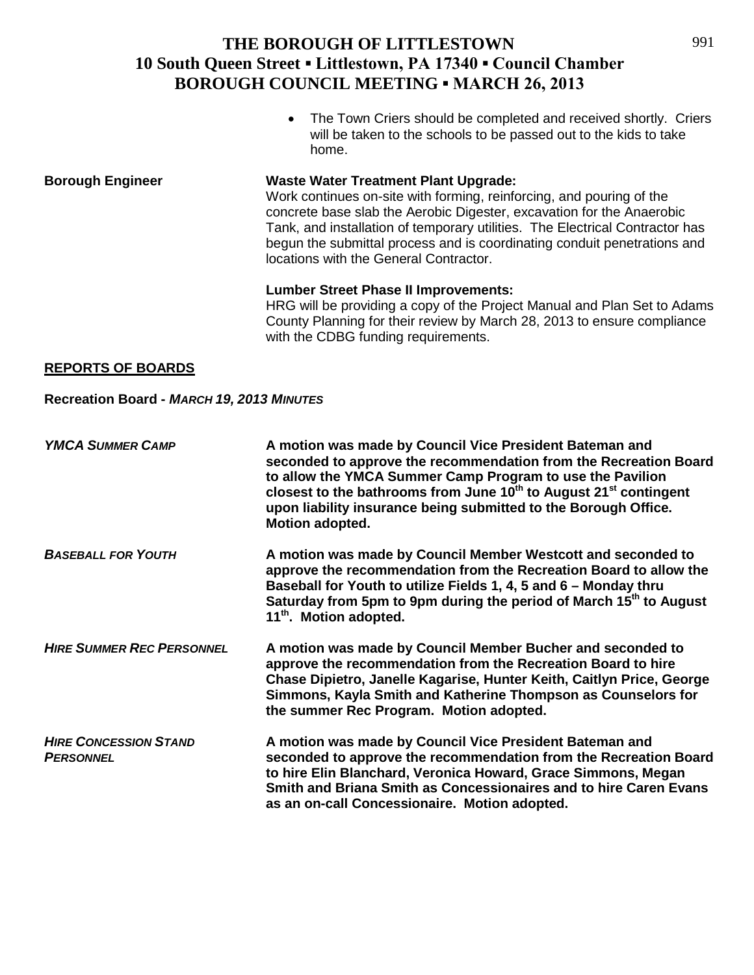• The Town Criers should be completed and received shortly. Criers will be taken to the schools to be passed out to the kids to take home.

**Borough Engineer Waste Water Treatment Plant Upgrade:** Work continues on-site with forming, reinforcing, and pouring of the concrete base slab the Aerobic Digester, excavation for the Anaerobic Tank, and installation of temporary utilities. The Electrical Contractor has begun the submittal process and is coordinating conduit penetrations and locations with the General Contractor.

#### **Lumber Street Phase II Improvements:**

HRG will be providing a copy of the Project Manual and Plan Set to Adams County Planning for their review by March 28, 2013 to ensure compliance with the CDBG funding requirements.

#### **REPORTS OF BOARDS**

#### **Recreation Board -** *MARCH 19, 2013 MINUTES*

| <b>YMCA SUMMER CAMP</b>                          | A motion was made by Council Vice President Bateman and<br>seconded to approve the recommendation from the Recreation Board<br>to allow the YMCA Summer Camp Program to use the Pavilion<br>closest to the bathrooms from June 10 <sup>th</sup> to August 21 <sup>st</sup> contingent<br>upon liability insurance being submitted to the Borough Office.<br>Motion adopted. |
|--------------------------------------------------|-----------------------------------------------------------------------------------------------------------------------------------------------------------------------------------------------------------------------------------------------------------------------------------------------------------------------------------------------------------------------------|
| <b>BASEBALL FOR YOUTH</b>                        | A motion was made by Council Member Westcott and seconded to<br>approve the recommendation from the Recreation Board to allow the<br>Baseball for Youth to utilize Fields 1, 4, 5 and 6 - Monday thru<br>Saturday from 5pm to 9pm during the period of March 15 <sup>th</sup> to August<br>11 <sup>th</sup> . Motion adopted.                                               |
| <b>HIRE SUMMER REC PERSONNEL</b>                 | A motion was made by Council Member Bucher and seconded to<br>approve the recommendation from the Recreation Board to hire<br>Chase Dipietro, Janelle Kagarise, Hunter Keith, Caitlyn Price, George<br>Simmons, Kayla Smith and Katherine Thompson as Counselors for<br>the summer Rec Program. Motion adopted.                                                             |
| <b>HIRE CONCESSION STAND</b><br><b>PERSONNEL</b> | A motion was made by Council Vice President Bateman and<br>seconded to approve the recommendation from the Recreation Board<br>to hire Elin Blanchard, Veronica Howard, Grace Simmons, Megan<br>Smith and Briana Smith as Concessionaires and to hire Caren Evans<br>as an on-call Concessionaire. Motion adopted.                                                          |